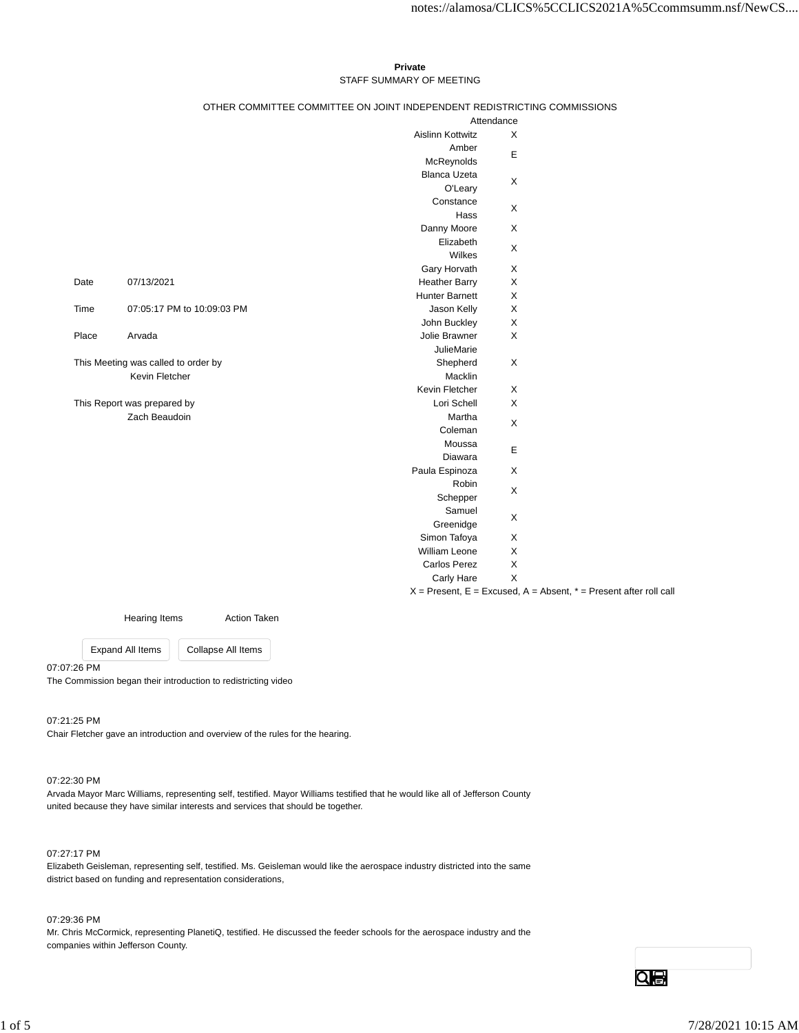# **Private** STAFF SUMMARY OF MEETING

# OTHER COMMITTEE COMMITTEE ON JOINT INDEPENDENT REDISTRICTING COMMISSIONS

|                                     |                            | Attendance              |                                                                       |
|-------------------------------------|----------------------------|-------------------------|-----------------------------------------------------------------------|
|                                     |                            | <b>Aislinn Kottwitz</b> | X                                                                     |
|                                     |                            | Amber                   | E                                                                     |
|                                     |                            | McReynolds              |                                                                       |
|                                     |                            | <b>Blanca Uzeta</b>     | X                                                                     |
|                                     |                            | O'Leary                 |                                                                       |
|                                     |                            | Constance               | X                                                                     |
|                                     |                            | Hass                    |                                                                       |
|                                     |                            | Danny Moore             | X                                                                     |
|                                     |                            | Elizabeth               | X                                                                     |
|                                     |                            | Wilkes                  |                                                                       |
|                                     |                            | Gary Horvath            | X                                                                     |
| Date                                | 07/13/2021                 | <b>Heather Barry</b>    | Χ                                                                     |
|                                     |                            | <b>Hunter Barnett</b>   | X                                                                     |
| Time                                | 07:05:17 PM to 10:09:03 PM | Jason Kelly             | Χ                                                                     |
|                                     |                            | John Buckley            | X                                                                     |
| Place                               | Arvada                     | Jolie Brawner           | X                                                                     |
|                                     |                            | <b>JulieMarie</b>       |                                                                       |
| This Meeting was called to order by |                            | Shepherd                | X                                                                     |
|                                     | Kevin Fletcher             | Macklin                 |                                                                       |
|                                     |                            | Kevin Fletcher          | X                                                                     |
| This Report was prepared by         |                            | Lori Schell             | X                                                                     |
|                                     | Zach Beaudoin              | Martha                  | X                                                                     |
|                                     |                            | Coleman                 |                                                                       |
|                                     |                            | Moussa                  | E                                                                     |
|                                     |                            | Diawara                 |                                                                       |
|                                     |                            | Paula Espinoza          | X                                                                     |
|                                     |                            | Robin                   | X                                                                     |
|                                     |                            | Schepper                |                                                                       |
|                                     |                            | Samuel                  | X                                                                     |
|                                     |                            | Greenidge               |                                                                       |
|                                     |                            | Simon Tafoya            | X                                                                     |
|                                     |                            | <b>William Leone</b>    | X                                                                     |
|                                     |                            | <b>Carlos Perez</b>     | $\boldsymbol{\mathsf{X}}$                                             |
|                                     |                            | Carly Hare              | X                                                                     |
|                                     |                            |                         | $X =$ Present, E = Excused, A = Absent, $* =$ Present after roll call |

Hearing Items **Action Taken** 

Expand All Items Collapse All Items

07:07:26 PM

The Commission began their introduction to redistricting video

07:21:25 PM

Chair Fletcher gave an introduction and overview of the rules for the hearing.

# 07:22:30 PM

Arvada Mayor Marc Williams, representing self, testified. Mayor Williams testified that he would like all of Jefferson County united because they have similar interests and services that should be together.

# 07:27:17 PM

Elizabeth Geisleman, representing self, testified. Ms. Geisleman would like the aerospace industry districted into the same district based on funding and representation considerations,

07:29:36 PM

Mr. Chris McCormick, representing PlanetiQ, testified. He discussed the feeder schools for the aerospace industry and the companies within Jefferson County.

Qe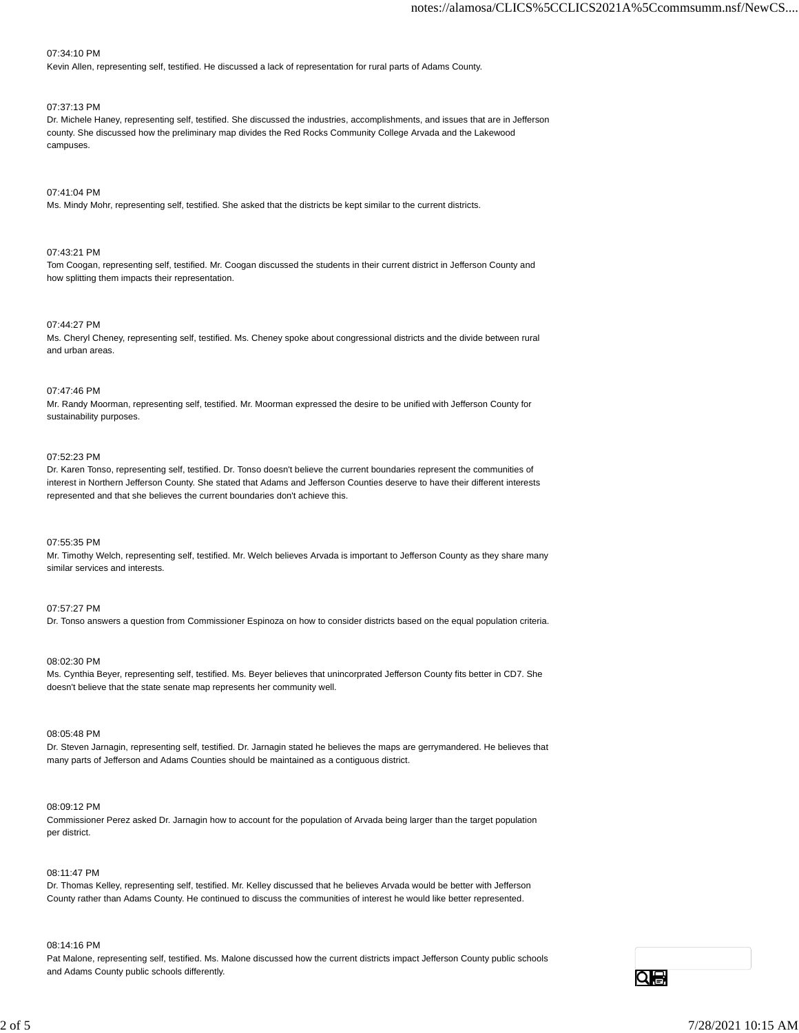# 07:34:10 PM

Kevin Allen, representing self, testified. He discussed a lack of representation for rural parts of Adams County.

# 07:37:13 PM

Dr. Michele Haney, representing self, testified. She discussed the industries, accomplishments, and issues that are in Jefferson county. She discussed how the preliminary map divides the Red Rocks Community College Arvada and the Lakewood campuses.

# 07:41:04 PM

Ms. Mindy Mohr, representing self, testified. She asked that the districts be kept similar to the current districts.

# 07:43:21 PM

Tom Coogan, representing self, testified. Mr. Coogan discussed the students in their current district in Jefferson County and how splitting them impacts their representation.

# 07:44:27 PM

Ms. Cheryl Cheney, representing self, testified. Ms. Cheney spoke about congressional districts and the divide between rural and urban areas.

# 07:47:46 PM

Mr. Randy Moorman, representing self, testified. Mr. Moorman expressed the desire to be unified with Jefferson County for sustainability purposes.

## 07:52:23 PM

Dr. Karen Tonso, representing self, testified. Dr. Tonso doesn't believe the current boundaries represent the communities of interest in Northern Jefferson County. She stated that Adams and Jefferson Counties deserve to have their different interests represented and that she believes the current boundaries don't achieve this.

# 07:55:35 PM

Mr. Timothy Welch, representing self, testified. Mr. Welch believes Arvada is important to Jefferson County as they share many similar services and interests.

# 07:57:27 PM

Dr. Tonso answers a question from Commissioner Espinoza on how to consider districts based on the equal population criteria.

# 08:02:30 PM

Ms. Cynthia Beyer, representing self, testified. Ms. Beyer believes that unincorprated Jefferson County fits better in CD7. She doesn't believe that the state senate map represents her community well.

# 08:05:48 PM

Dr. Steven Jarnagin, representing self, testified. Dr. Jarnagin stated he believes the maps are gerrymandered. He believes that many parts of Jefferson and Adams Counties should be maintained as a contiguous district.

# 08:09:12 PM

Commissioner Perez asked Dr. Jarnagin how to account for the population of Arvada being larger than the target population per district.

# 08:11:47 PM

Dr. Thomas Kelley, representing self, testified. Mr. Kelley discussed that he believes Arvada would be better with Jefferson County rather than Adams County. He continued to discuss the communities of interest he would like better represented.

#### 08:14:16 PM

Pat Malone, representing self, testified. Ms. Malone discussed how the current districts impact Jefferson County public schools and Adams County public schools differently.

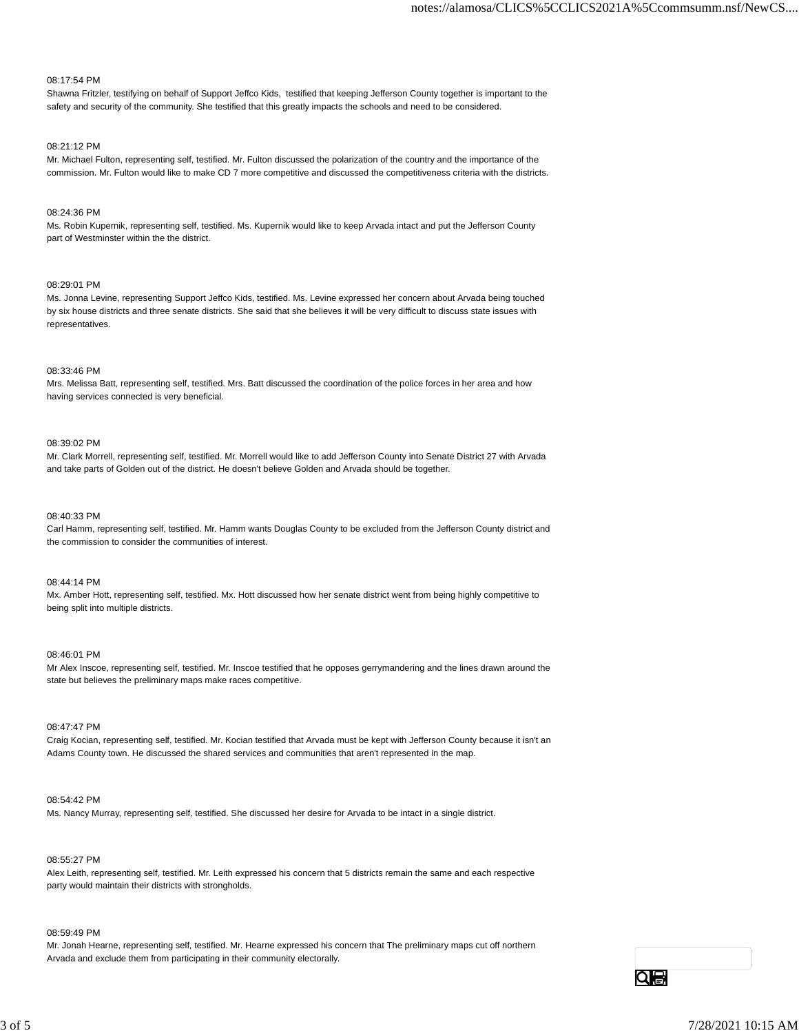# 08:17:54 PM

Shawna Fritzler, testifying on behalf of Support Jeffco Kids, testified that keeping Jefferson County together is important to the safety and security of the community. She testified that this greatly impacts the schools and need to be considered.

#### 08:21:12 PM

Mr. Michael Fulton, representing self, testified. Mr. Fulton discussed the polarization of the country and the importance of the commission. Mr. Fulton would like to make CD 7 more competitive and discussed the competitiveness criteria with the districts.

# 08:24:36 PM

Ms. Robin Kupernik, representing self, testified. Ms. Kupernik would like to keep Arvada intact and put the Jefferson County part of Westminster within the the district.

# 08:29:01 PM

Ms. Jonna Levine, representing Support Jeffco Kids, testified. Ms. Levine expressed her concern about Arvada being touched by six house districts and three senate districts. She said that she believes it will be very difficult to discuss state issues with representatives.

#### 08:33:46 PM

Mrs. Melissa Batt, representing self, testified. Mrs. Batt discussed the coordination of the police forces in her area and how having services connected is very beneficial.

# 08:39:02 PM

Mr. Clark Morrell, representing self, testified. Mr. Morrell would like to add Jefferson County into Senate District 27 with Arvada and take parts of Golden out of the district. He doesn't believe Golden and Arvada should be together.

# 08:40:33 PM

Carl Hamm, representing self, testified. Mr. Hamm wants Douglas County to be excluded from the Jefferson County district and the commission to consider the communities of interest.

# 08:44:14 PM

Mx. Amber Hott, representing self, testified. Mx. Hott discussed how her senate district went from being highly competitive to being split into multiple districts.

#### 08:46:01 PM

Mr Alex Inscoe, representing self, testified. Mr. Inscoe testified that he opposes gerrymandering and the lines drawn around the state but believes the preliminary maps make races competitive.

# 08:47:47 PM

Craig Kocian, representing self, testified. Mr. Kocian testified that Arvada must be kept with Jefferson County because it isn't an Adams County town. He discussed the shared services and communities that aren't represented in the map.

#### 08:54:42 PM

Ms. Nancy Murray, representing self, testified. She discussed her desire for Arvada to be intact in a single district.

#### 08:55:27 PM

Alex Leith, representing self, testified. Mr. Leith expressed his concern that 5 districts remain the same and each respective party would maintain their districts with strongholds.

#### 08:59:49 PM

Mr. Jonah Hearne, representing self, testified. Mr. Hearne expressed his concern that The preliminary maps cut off northern Arvada and exclude them from participating in their community electorally.

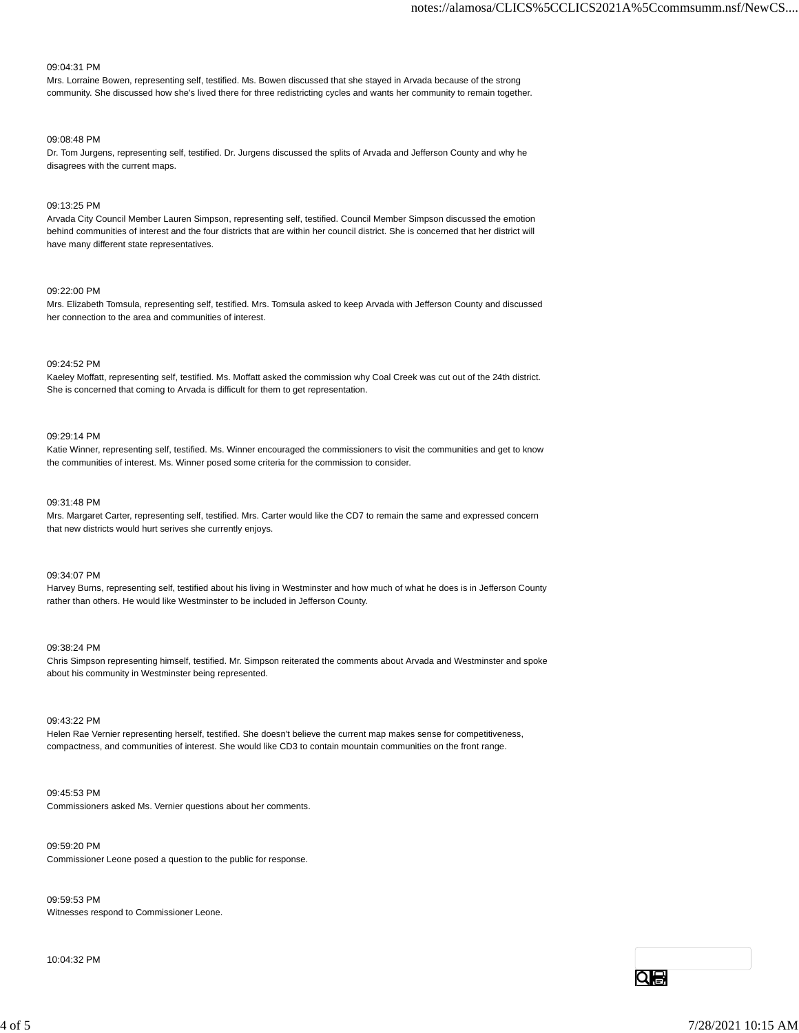# 09:04:31 PM

Mrs. Lorraine Bowen, representing self, testified. Ms. Bowen discussed that she stayed in Arvada because of the strong community. She discussed how she's lived there for three redistricting cycles and wants her community to remain together.

#### 09:08:48 PM

Dr. Tom Jurgens, representing self, testified. Dr. Jurgens discussed the splits of Arvada and Jefferson County and why he disagrees with the current maps.

# 09:13:25 PM

Arvada City Council Member Lauren Simpson, representing self, testified. Council Member Simpson discussed the emotion behind communities of interest and the four districts that are within her council district. She is concerned that her district will have many different state representatives.

#### 09:22:00 PM

Mrs. Elizabeth Tomsula, representing self, testified. Mrs. Tomsula asked to keep Arvada with Jefferson County and discussed her connection to the area and communities of interest.

# 09:24:52 PM

Kaeley Moffatt, representing self, testified. Ms. Moffatt asked the commission why Coal Creek was cut out of the 24th district. She is concerned that coming to Arvada is difficult for them to get representation.

# 09:29:14 PM

Katie Winner, representing self, testified. Ms. Winner encouraged the commissioners to visit the communities and get to know the communities of interest. Ms. Winner posed some criteria for the commission to consider.

#### 09:31:48 PM

Mrs. Margaret Carter, representing self, testified. Mrs. Carter would like the CD7 to remain the same and expressed concern that new districts would hurt serives she currently enjoys.

09:34:07 PM

Harvey Burns, representing self, testified about his living in Westminster and how much of what he does is in Jefferson County rather than others. He would like Westminster to be included in Jefferson County.

#### 09:38:24 PM

Chris Simpson representing himself, testified. Mr. Simpson reiterated the comments about Arvada and Westminster and spoke about his community in Westminster being represented.

# 09:43:22 PM

Helen Rae Vernier representing herself, testified. She doesn't believe the current map makes sense for competitiveness, compactness, and communities of interest. She would like CD3 to contain mountain communities on the front range.

### 09:45:53 PM

Commissioners asked Ms. Vernier questions about her comments.

# 09:59:20 PM

Commissioner Leone posed a question to the public for response.

09:59:53 PM Witnesses respond to Commissioner Leone.

10:04:32 PM





Qe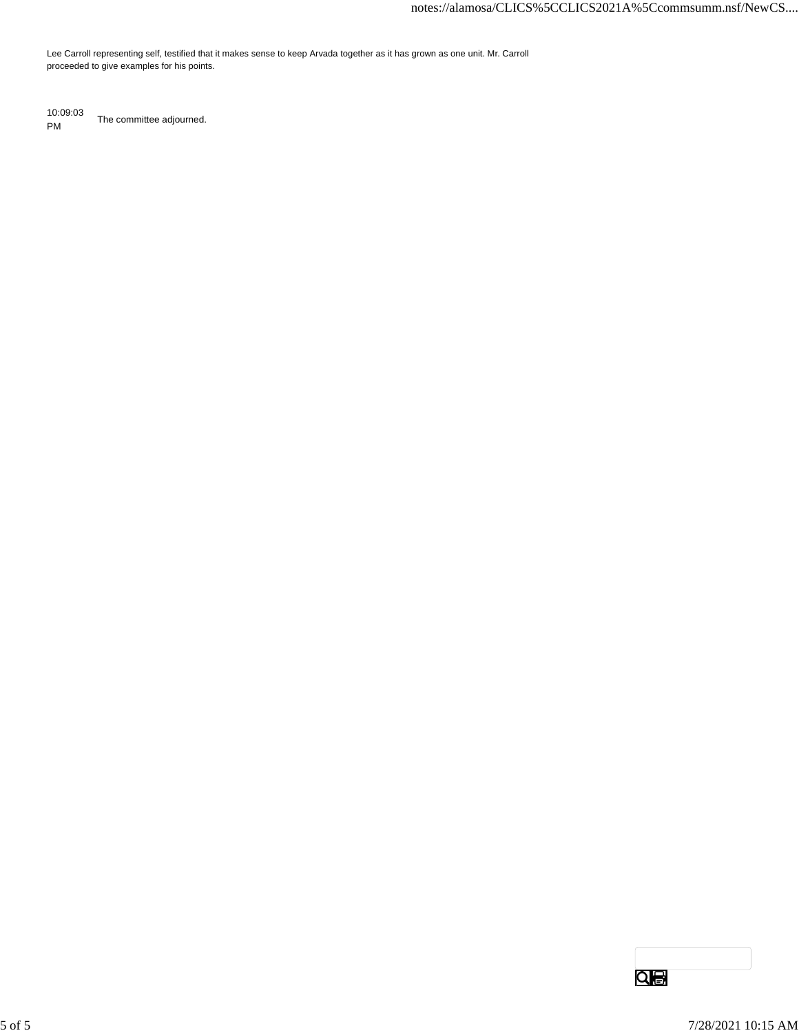Lee Carroll representing self, testified that it makes sense to keep Arvada together as it has grown as one unit. Mr. Carroll proceeded to give examples for his points.

10:09:03 PM The committee adjourned.

 $\overline{\mathbf{Q}}$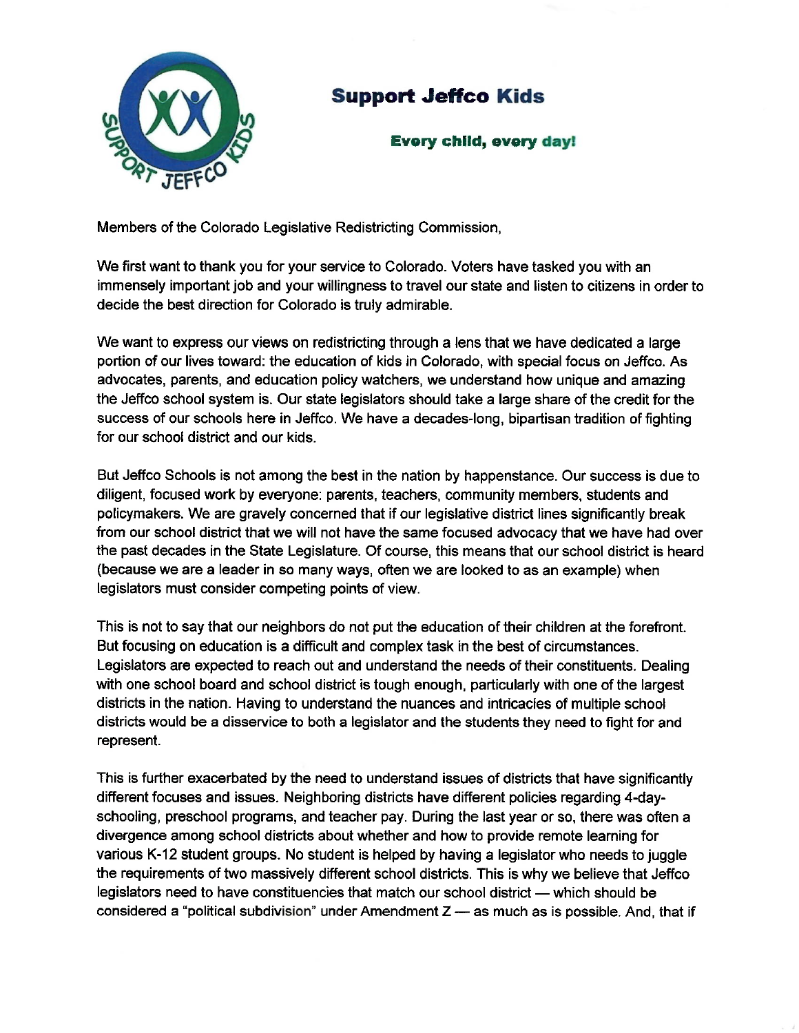

# **Support Jeffco Kids**

# **Every child, every day!**

Members of the Colorado Legislative Redistricting Commission,

We first want to thank you for your service to Colorado. Voters have tasked you with an immensely important job and your willingness to travel our state and listen to citizens in order to decide the best direction for Colorado is truly admirable.

We want to express our views on redistricting through a lens that we have dedicated a large portion of our lives toward: the education of kids in Colorado, with special focus on Jeffco. As advocates, parents, and education policy watchers, we understand how unique and amazing the Jeffco school system is. Our state legislators should take a large share of the credit for the success of our schools here in Jeffco. We have a decades-long, bipartisan tradition of fighting for our school district and our kids.

But Jeffco Schools is not among the best in the nation by happenstance. Our success is due to diligent, focused work by everyone: parents, teachers, community members, students and policymakers. We are gravely concerned that if our legislative district lines significantly break from our school district that we will not have the same focused advocacy that we have had over the past decades in the State Legislature. Of course, this means that our school district is heard (because we are a leader in so many ways, often we are looked to as an example) when legislators must consider competing points of view.

This is not to say that our neighbors do not put the education of their children at the forefront. But focusing on education is a difficult and complex task in the best of circumstances. Legislators are expected to reach out and understand the needs of their constituents. Dealing with one school board and school district is tough enough, particularly with one of the largest districts in the nation. Having to understand the nuances and intricacies of multiple school districts would be a disservice to both a legislator and the students they need to fight for and represent.

This is further exacerbated by the need to understand issues of districts that have significantly different focuses and issues. Neighboring districts have different policies regarding 4-dayschooling, preschool programs, and teacher pay. During the last year or so, there was often a divergence among school districts about whether and how to provide remote learning for various K-12 student groups. No student is helped by having a legislator who needs to juggle the requirements of two massively different school districts. This is why we believe that Jeffco legislators need to have constituencies that match our school district — which should be considered a "political subdivision" under Amendment  $Z$  — as much as is possible. And, that if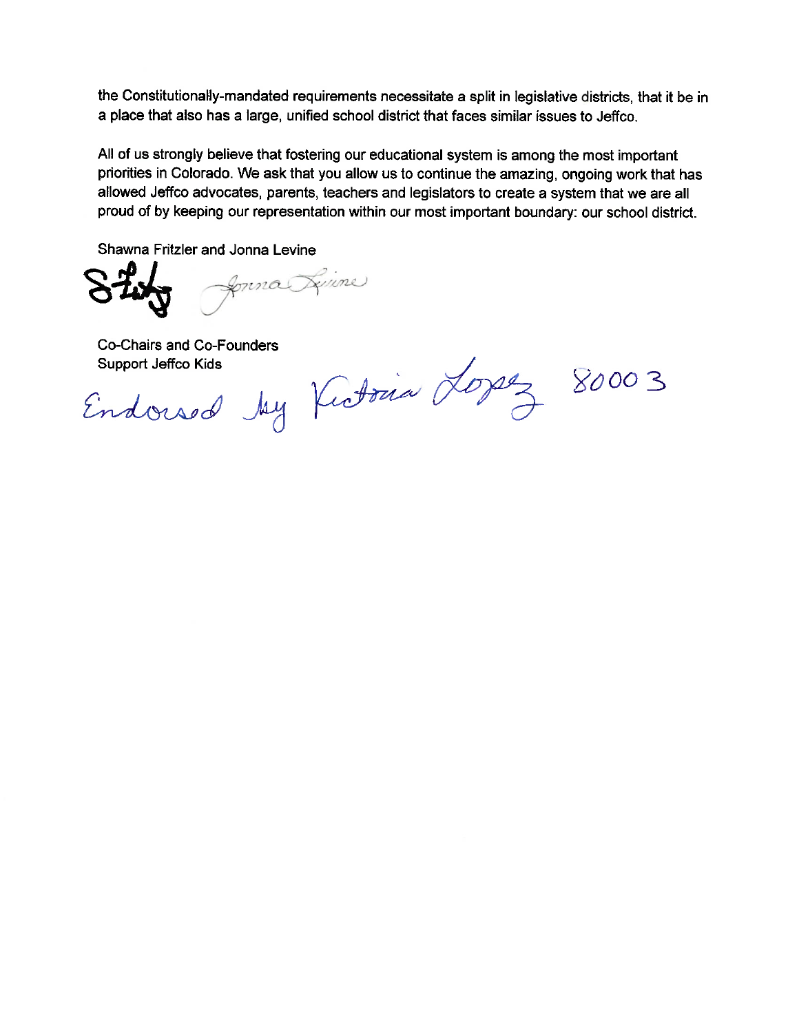the Constitutionally-mandated requirements necessitate a split in legislative districts, that it be in a place that also has a large, unified school district that faces similar issues to Jeffco.

All of us strongly believe that fostering our educational system is among the most important priorities in Colorado. We ask that you allow us to continue the amazing, ongoing work that has allowed Jeffco advocates, parents, teachers and legislators to create a system that we are all proud of by keeping our representation within our most important boundary: our school district.

Shawna Fritzler and Jonna Levine

forma Lynne

**Co-Chairs and Co-Founders** 

Endowed by Kutovia Logez

80003